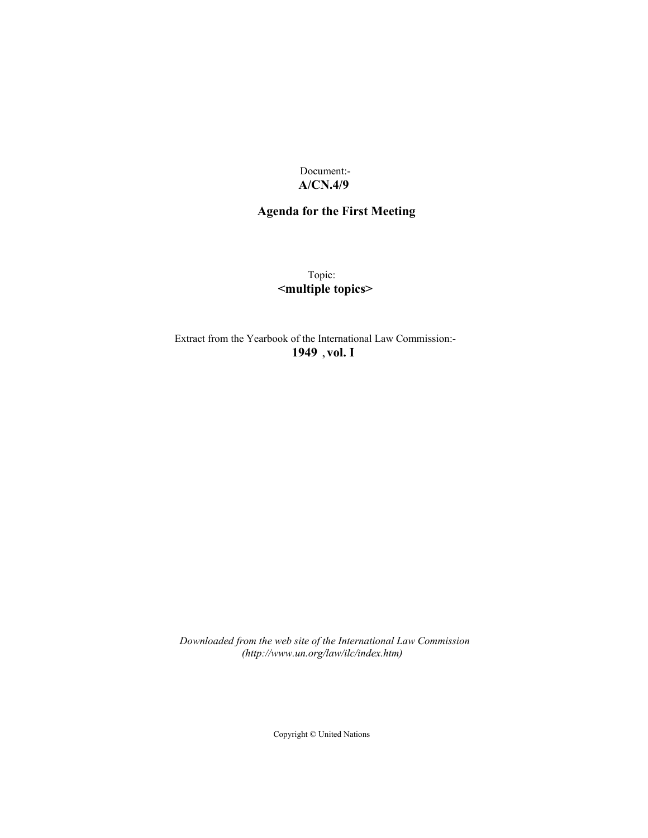Document:- **A/CN.4/9**

## **Agenda for the First Meeting**

Topic: **<multiple topics>**

Extract from the Yearbook of the International Law Commission:- **1949** ,**vol. I**

*Downloaded from the web site of the International Law Commission (http://www.un.org/law/ilc/index.htm)*

Copyright © United Nations